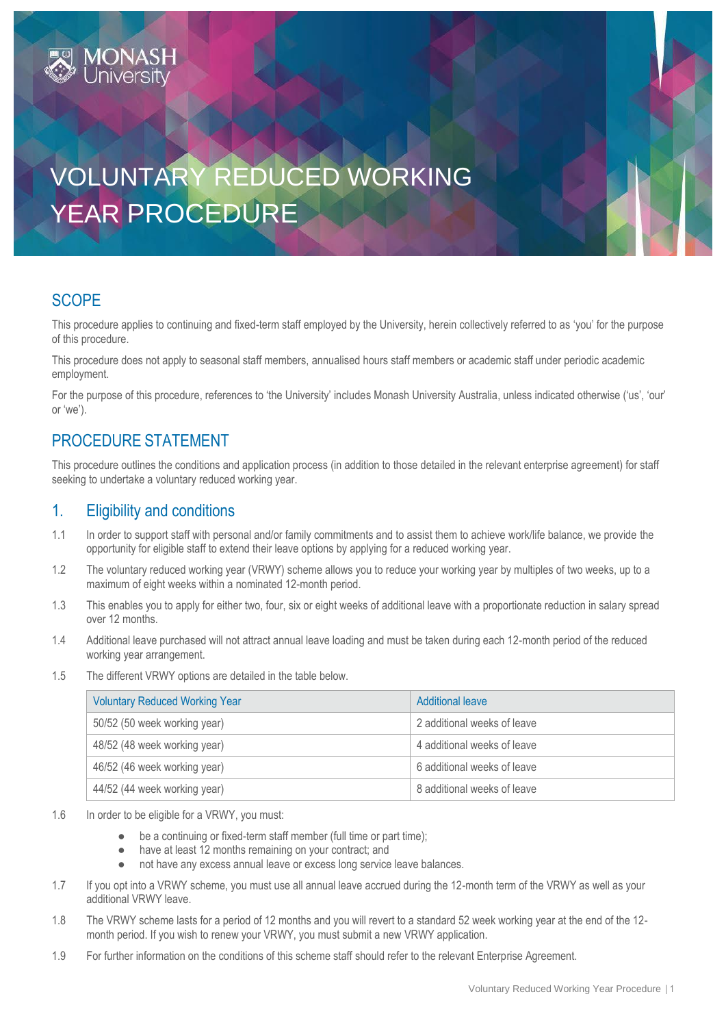# VOLUNTARY REDUCED WORKING YEAR PROCEDURE

## **SCOPE**

This procedure applies to continuing and fixed-term staff employed by the University, herein collectively referred to as 'you' for the purpose of this procedure.

This procedure does not apply to seasonal staff members, annualised hours staff members or academic staff under periodic academic employment.

For the purpose of this procedure, references to 'the University' includes Monash University Australia, unless indicated otherwise ('us', 'our' or 'we').

## PROCEDURE STATEMENT

This procedure outlines the conditions and application process (in addition to those detailed in the relevant enterprise agreement) for staff seeking to undertake a voluntary reduced working year.

#### 1. Eligibility and conditions

- 1.1 In order to support staff with personal and/or family commitments and to assist them to achieve work/life balance, we provide the opportunity for eligible staff to extend their leave options by applying for a reduced working year.
- 1.2 The voluntary reduced working year (VRWY) scheme allows you to reduce your working year by multiples of two weeks, up to a maximum of eight weeks within a nominated 12-month period.
- 1.3 This enables you to apply for either two, four, six or eight weeks of additional leave with a proportionate reduction in salary spread over 12 months.
- 1.4 Additional leave purchased will not attract annual leave loading and must be taken during each 12-month period of the reduced working year arrangement.
- 1.5 The different VRWY options are detailed in the table below.

| <b>Voluntary Reduced Working Year</b> | Additional leave            |
|---------------------------------------|-----------------------------|
| 50/52 (50 week working year)          | 2 additional weeks of leave |
| 48/52 (48 week working year)          | 4 additional weeks of leave |
| 46/52 (46 week working year)          | 6 additional weeks of leave |
| 44/52 (44 week working year)          | 8 additional weeks of leave |

- 1.6 In order to be eligible for a VRWY, you must:
	- be a continuing or fixed-term staff member (full time or part time);
	- have at least 12 months remaining on your contract; and
	- not have any excess annual leave or excess long service leave balances.
- 1.7 If you opt into a VRWY scheme, you must use all annual leave accrued during the 12-month term of the VRWY as well as your additional VRWY leave.
- 1.8 The VRWY scheme lasts for a period of 12 months and you will revert to a standard 52 week working year at the end of the 12 month period. If you wish to renew your VRWY, you must submit a ne[w VRWY application.](https://forms.apps.monash.edu/frevvo/web/tn/monash.edu/u/614aac3c-8ab8-4309-9283-375663fa97d8/app/_-olowACQEeixi7BhDBJ2Mg/flowtype/_O_og8QCXEeiFS60Q_j-LAQ?_method=post&embed=true)
- 1.9 For further information on the conditions of this scheme staff should refer to the relevant Enterprise Agreement.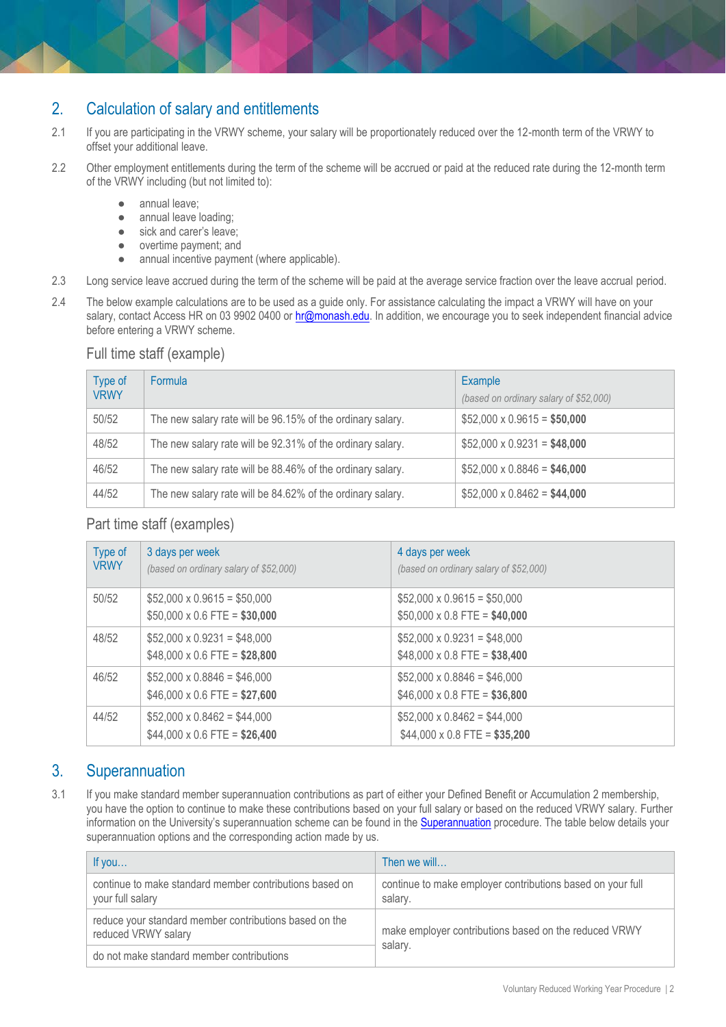## 2. Calculation of salary and entitlements

- 2.1 If you are participating in the VRWY scheme, your salary will be proportionately reduced over the 12-month term of the VRWY to offset your additional leave.
- 2.2 Other employment entitlements during the term of the scheme will be accrued or paid at the reduced rate during the 12-month term of the VRWY including (but not limited to):
	- annual leave;
	- annual leave loading;
	- sick and carer's leave;
	- overtime payment; and
	- annual incentive payment (where applicable).
- 2.3 Long service leave accrued during the term of the scheme will be paid at the average service fraction over the leave accrual period.
- 2.4 The below example calculations are to be used as a guide only. For assistance calculating the impact a VRWY will have on your salary, contact Access HR on 03 9902 0400 or [hr@monash.edu.](mailto:hr@monash.edu) In addition, we encourage you to seek independent financial advice before entering a VRWY scheme.

#### Full time staff (example)

| Type of<br><b>VRWY</b> | Formula                                                    | Example<br>(based on ordinary salary of \$52,000) |
|------------------------|------------------------------------------------------------|---------------------------------------------------|
| 50/52                  | The new salary rate will be 96.15% of the ordinary salary. | $$52,000 \times 0.9615 = $50,000$                 |
| 48/52                  | The new salary rate will be 92.31% of the ordinary salary. | $$52,000 \times 0.9231 = $48,000$                 |
| 46/52                  | The new salary rate will be 88.46% of the ordinary salary. | $$52,000 \times 0.8846 = $46,000$                 |
| 44/52                  | The new salary rate will be 84.62% of the ordinary salary. | $$52,000 \times 0.8462 = $44,000$                 |

#### Part time staff (examples)

| Type of<br><b>VRWY</b> | 3 days per week<br>(based on ordinary salary of \$52,000)                | 4 days per week<br>(based on ordinary salary of \$52,000)                |
|------------------------|--------------------------------------------------------------------------|--------------------------------------------------------------------------|
| 50/52                  | $$52,000 \times 0.9615 = $50,000$<br>$$50,000 \times 0.6$ FTE = \$30,000 | $$52,000 \times 0.9615 = $50,000$<br>$$50,000 \times 0.8$ FTE = \$40,000 |
| 48/52                  | $$52,000 \times 0.9231 = $48,000$<br>$$48,000 \times 0.6$ FTE = \$28,800 | $$52,000 \times 0.9231 = $48,000$<br>$$48,000 \times 0.8$ FTE = \$38,400 |
| 46/52                  | $$52,000 \times 0.8846 = $46,000$<br>$$46,000 \times 0.6$ FTE = \$27,600 | $$52,000 \times 0.8846 = $46,000$<br>$$46,000 \times 0.8$ FTE = \$36,800 |
| 44/52                  | $$52,000 \times 0.8462 = $44,000$<br>$$44,000 \times 0.6$ FTE = \$26,400 | $$52,000 \times 0.8462 = $44,000$<br>$$44,000 \times 0.8$ FTE = \$35,200 |

#### 3. Superannuation

3.1 If you make standard member superannuation contributions as part of either your Defined Benefit or Accumulation 2 membership, you have the option to continue to make these contributions based on your full salary or based on the reduced VRWY salary. Further information on the University's superannuation scheme can be found in the [Superannuation](https://publicpolicydms.monash.edu/Monash/documents/1935733) procedure. The table below details your superannuation options and the corresponding action made by us.

| If you                                                                        | Then we will                                                          |  |
|-------------------------------------------------------------------------------|-----------------------------------------------------------------------|--|
| continue to make standard member contributions based on<br>your full salary   | continue to make employer contributions based on your full<br>salary. |  |
| reduce your standard member contributions based on the<br>reduced VRWY salary | make employer contributions based on the reduced VRWY                 |  |
| do not make standard member contributions                                     | salary.                                                               |  |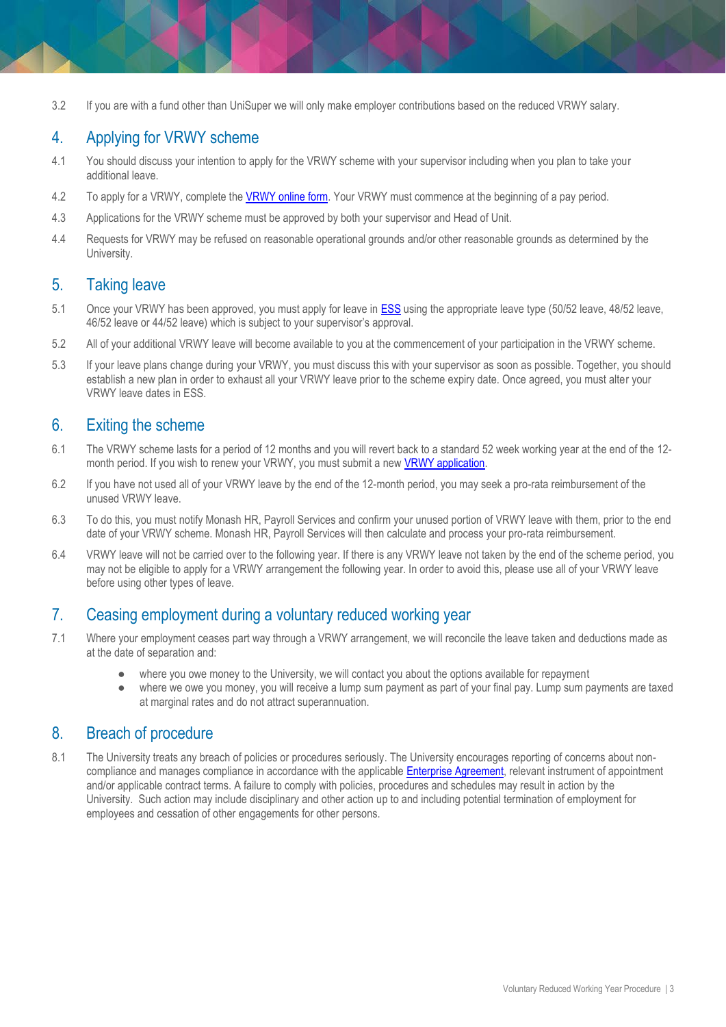3.2 If you are with a fund other than UniSuper we will only make employer contributions based on the reduced VRWY salary.

#### 4. Applying for VRWY scheme

- 4.1 You should discuss your intention to apply for the VRWY scheme with your supervisor including when you plan to take your additional leave.
- 4.2 To apply for a VRWY, complete the VRWY [online form.](https://forms.apps.monash.edu/frevvo/web/tn/monash.edu/u/614aac3c-8ab8-4309-9283-375663fa97d8/app/_-olowACQEeixi7BhDBJ2Mg/flowtype/_O_og8QCXEeiFS60Q_j-LAQ?_method=post&embed=true) Your VRWY must commence at the beginning of a pay period.
- 4.3 Applications for the VRWY scheme must be approved by both your supervisor and Head of Unit.
- 4.4 Requests for VRWY may be refused on reasonable operational grounds and/or other reasonable grounds as determined by the University.

#### 5. Taking leave

- 5.1 Once your VRWY has been approved, you must apply for leave in **ESS** using the appropriate leave type (50/52 leave, 48/52 leave, 46/52 leave or 44/52 leave) which is subject to your supervisor's approval.
- 5.2 All of your additional VRWY leave will become available to you at the commencement of your participation in the VRWY scheme.
- 5.3 If your leave plans change during your VRWY, you must discuss this with your supervisor as soon as possible. Together, you should establish a new plan in order to exhaust all your VRWY leave prior to the scheme expiry date. Once agreed, you must alter your VRWY leave dates in ESS.

#### 6. Exiting the scheme

- 6.1 The VRWY scheme lasts for a period of 12 months and you will revert back to a standard 52 week working year at the end of the 12 month period. If you wish to renew your VRWY, you must submit a ne[w VRWY application.](https://forms.apps.monash.edu/frevvo/web/tn/monash.edu/u/614aac3c-8ab8-4309-9283-375663fa97d8/app/_-olowACQEeixi7BhDBJ2Mg/flowtype/_O_og8QCXEeiFS60Q_j-LAQ?_method=post&embed=true)
- 6.2 If you have not used all of your VRWY leave by the end of the 12-month period, you may seek a pro-rata reimbursement of the unused VRWY leave.
- 6.3 To do this, you must notify Monash HR, Payroll Services and confirm your unused portion of VRWY leave with them, prior to the end date of your VRWY scheme. Monash HR, Payroll Services will then calculate and process your pro-rata reimbursement.
- 6.4 VRWY leave will not be carried over to the following year. If there is any VRWY leave not taken by the end of the scheme period, you may not be eligible to apply for a VRWY arrangement the following year. In order to avoid this, please use all of your VRWY leave before using other types of leave.

#### 7. Ceasing employment during a voluntary reduced working year

- 7.1 Where your employment ceases part way through a VRWY arrangement, we will reconcile the leave taken and deductions made as at the date of separation and:
	- where you owe money to the University, we will contact you about the options available for repayment
	- where we owe you money, you will receive a lump sum payment as part of your final pay. Lump sum payments are taxed at marginal rates and do not attract superannuation.

#### 8. Breach of procedure

8.1 The University treats any breach of policies or procedures seriously. The University encourages reporting of concerns about noncompliance and manages compliance in accordance with the applicabl[e Enterprise Agreement,](https://www.monash.edu/current-enterprise-agreements) relevant instrument of appointment and/or applicable contract terms. A failure to comply with policies, procedures and schedules may result in action by the University. Such action may include disciplinary and other action up to and including potential termination of employment for employees and cessation of other engagements for other persons.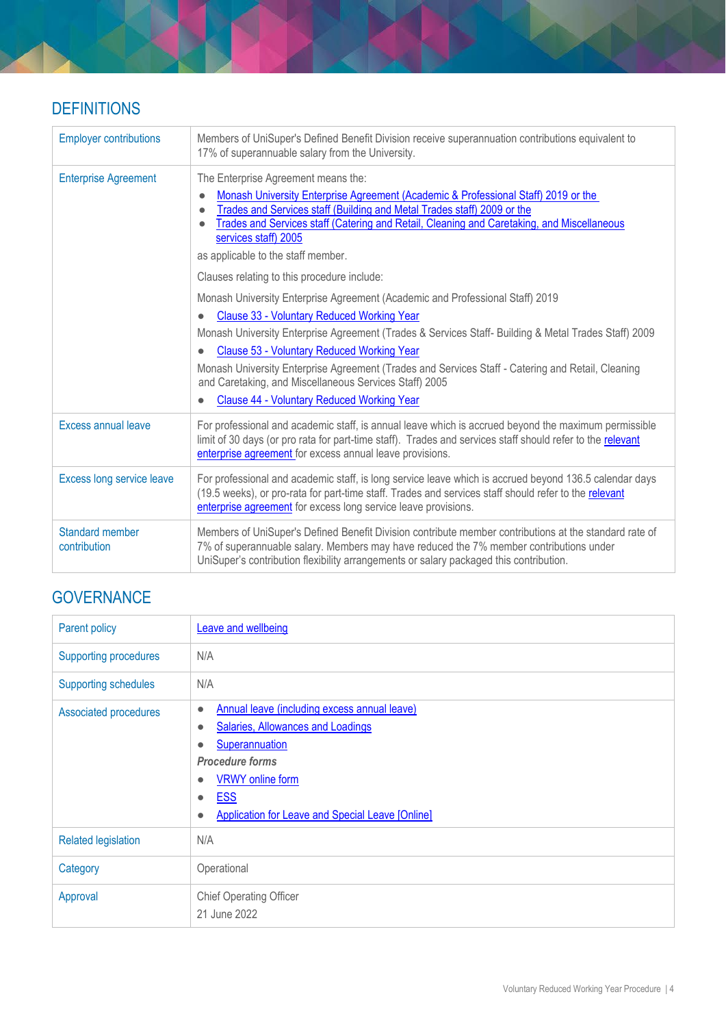# **DEFINITIONS**

| <b>Employer contributions</b>          | Members of UniSuper's Defined Benefit Division receive superannuation contributions equivalent to<br>17% of superannuable salary from the University.                                                                                                                                                                                                                                                                                                                                                 |
|----------------------------------------|-------------------------------------------------------------------------------------------------------------------------------------------------------------------------------------------------------------------------------------------------------------------------------------------------------------------------------------------------------------------------------------------------------------------------------------------------------------------------------------------------------|
| <b>Enterprise Agreement</b>            | The Enterprise Agreement means the:<br>Monash University Enterprise Agreement (Academic & Professional Staff) 2019 or the<br>$\bullet$<br>Trades and Services staff (Building and Metal Trades staff) 2009 or the<br>Trades and Services staff (Catering and Retail, Cleaning and Caretaking, and Miscellaneous<br>services staff) 2005<br>as applicable to the staff member.<br>Clauses relating to this procedure include:                                                                          |
|                                        | Monash University Enterprise Agreement (Academic and Professional Staff) 2019<br>Clause 33 - Voluntary Reduced Working Year<br>Monash University Enterprise Agreement (Trades & Services Staff- Building & Metal Trades Staff) 2009<br>Clause 53 - Voluntary Reduced Working Year<br>Monash University Enterprise Agreement (Trades and Services Staff - Catering and Retail, Cleaning<br>and Caretaking, and Miscellaneous Services Staff) 2005<br><b>Clause 44 - Voluntary Reduced Working Year</b> |
| <b>Excess annual leave</b>             | For professional and academic staff, is annual leave which is accrued beyond the maximum permissible<br>limit of 30 days (or pro rata for part-time staff). Trades and services staff should refer to the relevant<br>enterprise agreement for excess annual leave provisions.                                                                                                                                                                                                                        |
| Excess long service leave              | For professional and academic staff, is long service leave which is accrued beyond 136.5 calendar days<br>(19.5 weeks), or pro-rata for part-time staff. Trades and services staff should refer to the relevant<br>enterprise agreement for excess long service leave provisions.                                                                                                                                                                                                                     |
| <b>Standard member</b><br>contribution | Members of UniSuper's Defined Benefit Division contribute member contributions at the standard rate of<br>7% of superannuable salary. Members may have reduced the 7% member contributions under<br>UniSuper's contribution flexibility arrangements or salary packaged this contribution.                                                                                                                                                                                                            |

# **GOVERNANCE**

| Parent policy                | <b>Leave and wellbeing</b>                                                                                                                                                                                                                                                                                     |
|------------------------------|----------------------------------------------------------------------------------------------------------------------------------------------------------------------------------------------------------------------------------------------------------------------------------------------------------------|
| <b>Supporting procedures</b> | N/A                                                                                                                                                                                                                                                                                                            |
| <b>Supporting schedules</b>  | N/A                                                                                                                                                                                                                                                                                                            |
| Associated procedures        | Annual leave (including excess annual leave)<br>$\bullet$<br><b>Salaries, Allowances and Loadings</b><br>$\bullet$<br>Superannuation<br>Ċ<br><b>Procedure forms</b><br><b>VRWY</b> online form<br>$\bullet$<br><b>ESS</b><br>$\bullet$<br><b>Application for Leave and Special Leave [Online]</b><br>$\bullet$ |
| <b>Related legislation</b>   | N/A                                                                                                                                                                                                                                                                                                            |
| Category                     | Operational                                                                                                                                                                                                                                                                                                    |
| Approval                     | <b>Chief Operating Officer</b><br>21 June 2022                                                                                                                                                                                                                                                                 |